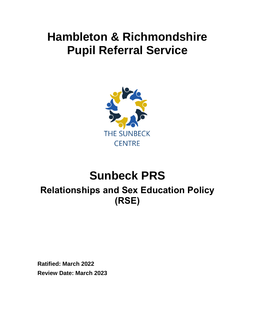## **Hambleton & Richmondshire Pupil Referral Service**



# **Sunbeck PRS**

### **Relationships and Sex Education Policy (RSE)**

**Ratified: March 2022 Review Date: March 2023**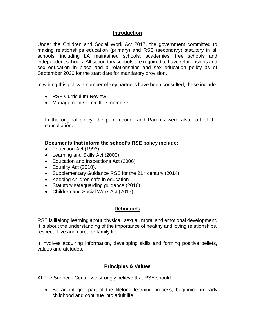#### **Introduction**

Under the Children and Social Work Act 2017, the government committed to making relationships education (primary) and RSE (secondary) statutory in all schools, including LA maintained schools, academies, free schools and independent schools. All secondary schools are required to have relationships and sex education in place and a relationships and sex education policy as of September 2020 for the start date for mandatory provision.

In writing this policy a number of key partners have been consulted, these include:

- RSE Curriculum Review
- Management Committee members

In the original policy, the pupil council and Parents were also part of the consultation.

**Documents that inform the school's RSE policy include:**

- Education Act (1996)
- Learning and Skills Act (2000)
- Education and Inspections Act (2006)
- Equality Act (2010),
- Supplementary Guidance RSE for the 21<sup>st</sup> century (2014)
- $\bullet$  Keeping children safe in education  $-$
- Statutory safeguarding guidance (2016)
- Children and Social Work Act (2017)

#### **Definitions**

RSE is lifelong learning about physical, sexual, moral and emotional development. It is about the understanding of the importance of healthy and loving relationships, respect, love and care, for family life.

It involves acquiring information, developing skills and forming positive beliefs, values and attitudes.

#### **Principles & Values**

At The Sunbeck Centre we strongly believe that RSE should:

• Be an integral part of the lifelong learning process, beginning in early childhood and continue into adult life.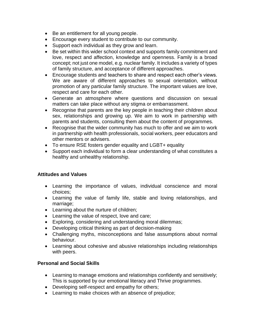- Be an entitlement for all young people.
- Encourage every student to contribute to our community.
- Support each individual as they grow and learn.
- Be set within this wider school context and supports family commitment and love, respect and affection, knowledge and openness. Family is a broad concept; not just one model, e.g. nuclear family. It includes a variety of types of family structure, and acceptance of different approaches.
- Encourage students and teachers to share and respect each other's views. We are aware of different approaches to sexual orientation, without promotion of any particular family structure. The important values are love, respect and care for each other.
- Generate an atmosphere where questions and discussion on sexual matters can take place without any stigma or embarrassment.
- Recognise that parents are the key people in teaching their children about sex, relationships and growing up. We aim to work in partnership with parents and students, consulting them about the content of programmes.
- Recognise that the wider community has much to offer and we aim to work in partnership with health professionals, social workers, peer educators and other mentors or advisers.
- To ensure RSE fosters gender equality and LGBT+ equality
- Support each individual to form a clear understanding of what constitutes a healthy and unhealthy relationship.

#### **Attitudes and Values**

- Learning the importance of values, individual conscience and moral choices;
- Learning the value of family life, stable and loving relationships, and marriage;
- Learning about the nurture of children;
- Learning the value of respect, love and care;
- Exploring, considering and understanding moral dilemmas;
- Developing critical thinking as part of decision-making
- Challenging myths, misconceptions and false assumptions about normal behaviour.
- Learning about cohesive and abusive relationships including relationships with peers.

#### **Personal and Social Skills**

- Learning to manage emotions and relationships confidently and sensitively; This is supported by our emotional literacy and Thrive programmes.
- Developing self-respect and empathy for others;
- Learning to make choices with an absence of prejudice;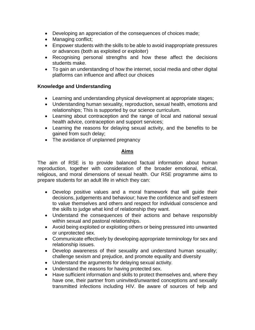- Developing an appreciation of the consequences of choices made;
- Managing conflict;
- Empower students with the skills to be able to avoid inappropriate pressures or advances (both as exploited or exploiter)
- Recognising personal strengths and how these affect the decisions students make.
- To gain an understanding of how the internet, social media and other digital platforms can influence and affect our choices

#### **Knowledge and Understanding**

- Learning and understanding physical development at appropriate stages;
- Understanding human sexuality, reproduction, sexual health, emotions and relationships; This is supported by our science curriculum.
- Learning about contraception and the range of local and national sexual health advice, contraception and support services;
- Learning the reasons for delaying sexual activity, and the benefits to be gained from such delay;
- The avoidance of unplanned pregnancy

#### **Aims**

The aim of RSE is to provide balanced factual information about human reproduction, together with consideration of the broader emotional, ethical, religious, and moral dimensions of sexual health. Our RSE programme aims to prepare students for an adult life in which they can:

- Develop positive values and a moral framework that will guide their decisions, judgements and behaviour; have the confidence and self esteem to value themselves and others and respect for individual conscience and the skills to judge what kind of relationship they want.
- Understand the consequences of their actions and behave responsibly within sexual and pastoral relationships.
- Avoid being exploited or exploiting others or being pressured into unwanted or unprotected sex.
- Communicate effectively by developing appropriate terminology for sex and relationship issues.
- Develop awareness of their sexuality and understand human sexuality; challenge sexism and prejudice, and promote equality and diversity
- Understand the arguments for delaying sexual activity.
- Understand the reasons for having protected sex.
- Have sufficient information and skills to protect themselves and, where they have one, their partner from uninvited/unwanted conceptions and sexually transmitted infections including HIV. Be aware of sources of help and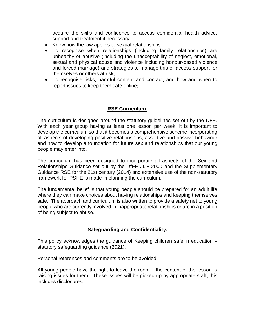acquire the skills and confidence to access confidential health advice, support and treatment if necessary

- Know how the law applies to sexual relationships
- To recognise when relationships (including family relationships) are unhealthy or abusive (including the unacceptability of neglect, emotional, sexual and physical abuse and violence including honour-based violence and forced marriage) and strategies to manage this or access support for themselves or others at risk;
- To recognise risks, harmful content and contact, and how and when to report issues to keep them safe online;

#### **RSE Curriculum.**

The curriculum is designed around the statutory guidelines set out by the DFE. With each year group having at least one lesson per week, it is important to develop the curriculum so that it becomes a comprehensive scheme incorporating all aspects of developing positive relationships, assertive and passive behaviour and how to develop a foundation for future sex and relationships that our young people may enter into.

The curriculum has been designed to incorporate all aspects of the Sex and Relationships Guidance set out by the DfEE July 2000 and the Supplementary Guidance RSE for the 21st century (2014) and extensive use of the non-statutory framework for PSHE is made in planning the curriculum.

The fundamental belief is that young people should be prepared for an adult life where they can make choices about having relationships and keeping themselves safe. The approach and curriculum is also written to provide a safety net to young people who are currently involved in inappropriate relationships or are in a position of being subject to abuse.

#### **Safeguarding and Confidentiality.**

This policy acknowledges the guidance of Keeping children safe in education – statutory safeguarding guidance (2021).

Personal references and comments are to be avoided.

All young people have the right to leave the room if the content of the lesson is raising issues for them. These issues will be picked up by appropriate staff, this includes disclosures.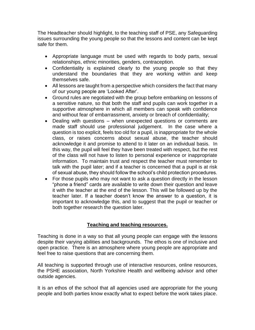The Headteacher should highlight, to the teaching staff of PSE, any Safeguarding issues surrounding the young people so that the lessons and content can be kept safe for them.

- Appropriate language must be used with regards to body parts, sexual relationships, ethnic minorities, genders, contraception.
- Confidentiality is explained clearly to the young people so that they understand the boundaries that they are working within and keep themselves safe.
- All lessons are taught from a perspective which considers the fact that many of our young people are 'Looked After'.
- Ground rules are negotiated with the group before embarking on lessons of a sensitive nature, so that both the staff and pupils can work together in a supportive atmosphere in which all members can speak with confidence and without fear of embarrassment, anxiety or breach of confidentiality;
- Dealing with questions when unexpected questions or comments are made staff should use professional judgement. In the case where a question is too explicit, feels too old for a pupil, is inappropriate for the whole class, or raises concerns about sexual abuse, the teacher should acknowledge it and promise to attend to it later on an individual basis. In this way, the pupil will feel they have been treated with respect, but the rest of the class will not have to listen to personal experience or inappropriate information. To maintain trust and respect the teacher must remember to talk with the pupil later; and if a teacher is concerned that a pupil is at risk of sexual abuse, they should follow the school's child protection procedures.
- For those pupils who may not want to ask a question directly in the lesson "phone a friend" cards are available to write down their question and leave it with the teacher at the end of the lesson. This will be followed up by the teacher later. If a teacher doesn't know the answer to a question, it is important to acknowledge this, and to suggest that the pupil or teacher or both together research the question later.

#### **Teaching and teaching resources.**

Teaching is done in a way so that all young people can engage with the lessons despite their varying abilities and backgrounds. The ethos is one of inclusive and open practice. There is an atmosphere where young people are appropriate and feel free to raise questions that are concerning them.

All teaching is supported through use of interactive resources, online resources, the PSHE association, North Yorkshire Health and wellbeing advisor and other outside agencies.

It is an ethos of the school that all agencies used are appropriate for the young people and both parties know exactly what to expect before the work takes place.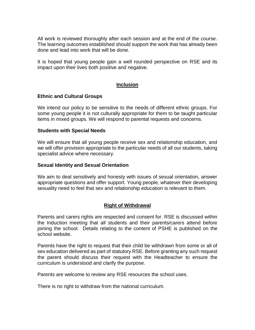All work is reviewed thoroughly after each session and at the end of the course. The learning outcomes established should support the work that has already been done and lead into work that will be done.

It is hoped that young people gain a well rounded perspective on RSE and its impact upon their lives both positive and negative.

#### **Inclusion**

#### **Ethnic and Cultural Groups**

We intend our policy to be sensitive to the needs of different ethnic groups. For some young people it is not culturally appropriate for them to be taught particular items in mixed groups. We will respond to parental requests and concerns.

#### **Students with Special Needs**

We will ensure that all young people receive sex and relationship education, and we will offer provision appropriate to the particular needs of all our students, taking specialist advice where necessary.

#### **Sexual Identity and Sexual Orientation**

We aim to deal sensitively and honesty with issues of sexual orientation, answer appropriate questions and offer support. Young people, whatever their developing sexuality need to feel that sex and relationship education is relevant to them.

#### **Right of Withdrawal**

Parents and carers rights are respected and consent for. RSE is discussed within the Induction meeting that all students and their parents/carers attend before joining the school. Details relating to the content of PSHE is published on the school website.

Parents have the right to request that their child be withdrawn from some or all of sex education delivered as part of statutory RSE. Before granting any such request the parent should discuss their request with the Headteacher to ensure the curriculum is understood and clarify the purpose.

Parents are welcome to review any RSE resources the school uses.

There is no right to withdraw from the national curriculum.